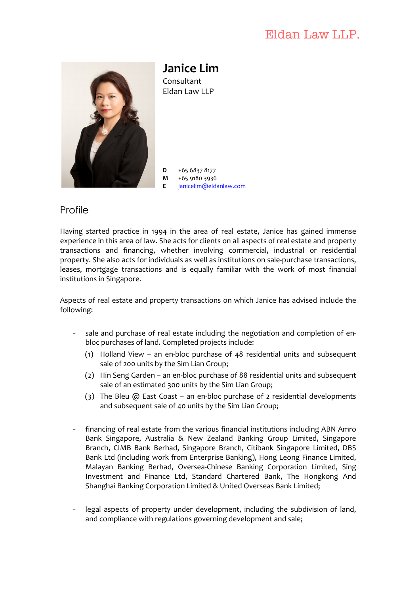# Eldan Law LLP.



**Janice Lim** Consultant Eldan Law LLP

 $D +6568378177$ **M** +65 9180 3936 **E** janicelim@eldanlaw.com

# Profile

Having started practice in 1994 in the area of real estate, Janice has gained immense experience in this area of law. She acts for clients on all aspects of real estate and property transactions and financing, whether involving commercial, industrial or residential property. She also acts for individuals as well as institutions on sale-purchase transactions, leases, mortgage transactions and is equally familiar with the work of most financial institutions in Singapore.

Aspects of real estate and property transactions on which Janice has advised include the following:

- sale and purchase of real estate including the negotiation and completion of enbloc purchases of land. Completed projects include:
	- (1) Holland View an en-bloc purchase of 48 residential units and subsequent sale of 200 units by the Sim Lian Group;
	- (2) Hin Seng Garden an en-bloc purchase of 88 residential units and subsequent sale of an estimated 300 units by the Sim Lian Group;
	- (3) The Bleu  $\omega$  East Coast an en-bloc purchase of 2 residential developments and subsequent sale of 40 units by the Sim Lian Group;
- financing of real estate from the various financial institutions including ABN Amro Bank Singapore, Australia & New Zealand Banking Group Limited, Singapore Branch, CIMB Bank Berhad, Singapore Branch, Citibank Singapore Limited, DBS Bank Ltd (including work from Enterprise Banking), Hong Leong Finance Limited, Malayan Banking Berhad, Oversea-Chinese Banking Corporation Limited, Sing Investment and Finance Ltd, Standard Chartered Bank, The Hongkong And Shanghai Banking Corporation Limited & United Overseas Bank Limited;
- legal aspects of property under development, including the subdivision of land, and compliance with regulations governing development and sale;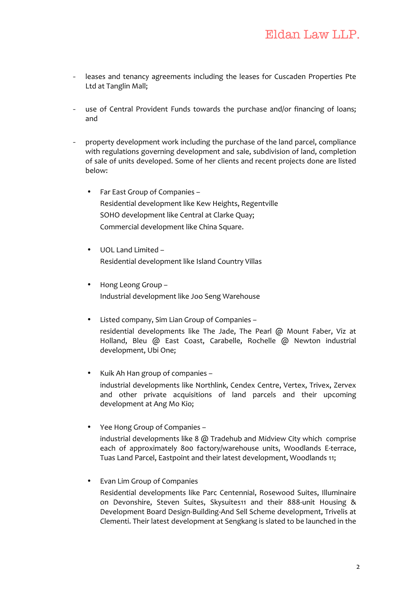- leases and tenancy agreements including the leases for Cuscaden Properties Pte Ltd at Tanglin Mall;
- use of Central Provident Funds towards the purchase and/or financing of loans; and
- property development work including the purchase of the land parcel, compliance with regulations governing development and sale, subdivision of land, completion of sale of units developed. Some of her clients and recent projects done are listed below:
	- Far East Group of Companies -Residential development like Kew Heights, Regentville SOHO development like Central at Clarke Quay; Commercial development like China Square.
	- UOL Land Limited -Residential development like Island Country Villas
	- Hong Leong Group -Industrial development like Joo Seng Warehouse
	- Listed company, Sim Lian Group of Companies residential developments like The Jade, The Pearl  $@$  Mount Faber, Viz at Holland, Bleu @ East Coast, Carabelle, Rochelle @ Newton industrial development, Ubi One;
	- Kuik Ah Han group of companies industrial developments like Northlink, Cendex Centre, Vertex, Trivex, Zervex and other private acquisitions of land parcels and their upcoming development at Ang Mo Kio;
	- Yee Hong Group of Companies industrial developments like  $8$  @ Tradehub and Midview City which comprise each of approximately 800 factory/warehouse units, Woodlands E-terrace, Tuas Land Parcel, Eastpoint and their latest development, Woodlands 11;
	- Evan Lim Group of Companies Residential developments like Parc Centennial, Rosewood Suites, Illuminaire on Devonshire, Steven Suites, Skysuites11 and their 888-unit Housing & Development Board Design-Building-And Sell Scheme development, Trivelis at Clementi. Their latest development at Sengkang is slated to be launched in the